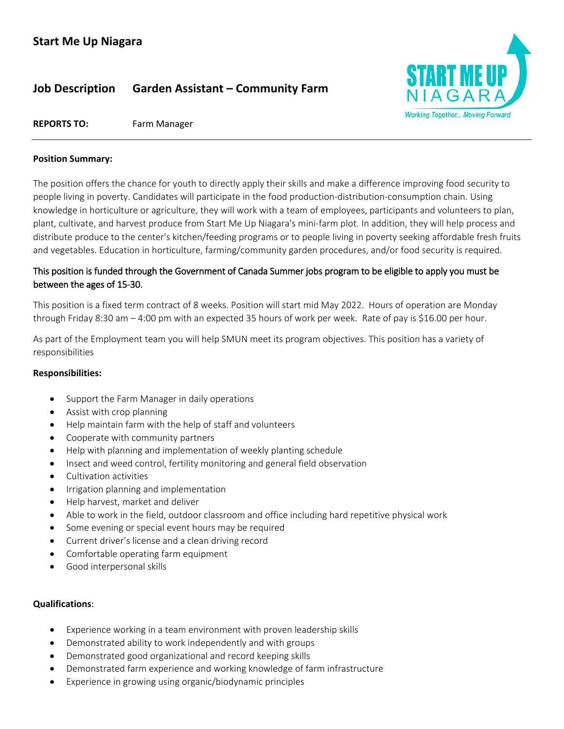# **Job Description Garden Assistant – Community Farm**



## **REPORTS TO:** Farm Manager

#### **Position Summary:**

The position offers the chance for youth to directly apply their skills and make a difference improving food security to people living in poverty. Candidates will participate in the food production-distribution-consumption chain. Using knowledge in horticulture or agriculture, they will work with a team of employees, participants and volunteers to plan, plant, cultivate, and harvest produce from Start Me Up Niagara's mini-farm plot. In addition, they will help process and distribute produce to the center's kitchen/feeding programs or to people living in poverty seeking affordable fresh fruits and vegetables. Education in horticulture, farming/community garden procedures, and/or food security is required.

# This position is funded through the Government of Canada Summer jobs program to be eligible to apply you must be between the ages of 15-30.

This position is a fixed term contract of 8 weeks. Position will start mid May 2022. Hours of operation are Monday through Friday 8:30 am – 4:00 pm with an expected 35 hours of work per week. Rate of pay is \$16.00 per hour.

As part of the Employment team you will help SMUN meet its program objectives. This position has a variety of responsibilities

## **Responsibilities:**

- Support the Farm Manager in daily operations
- Assist with crop planning
- Help maintain farm with the help of staff and volunteers
- Cooperate with community partners
- Help with planning and implementation of weekly planting schedule
- Insect and weed control, fertility monitoring and general field observation
- Cultivation activities
- Irrigation planning and implementation
- Help harvest, market and deliver
- Able to work in the field, outdoor classroom and office including hard repetitive physical work
- Some evening or special event hours may be required
- Current driver's license and a clean driving record
- Comfortable operating farm equipment
- Good interpersonal skills

## **Qualifications**:

- Experience working in a team environment with proven leadership skills
- Demonstrated ability to work independently and with groups
- Demonstrated good organizational and record keeping skills
- Demonstrated farm experience and working knowledge of farm infrastructure
- Experience in growing using organic/biodynamic principles